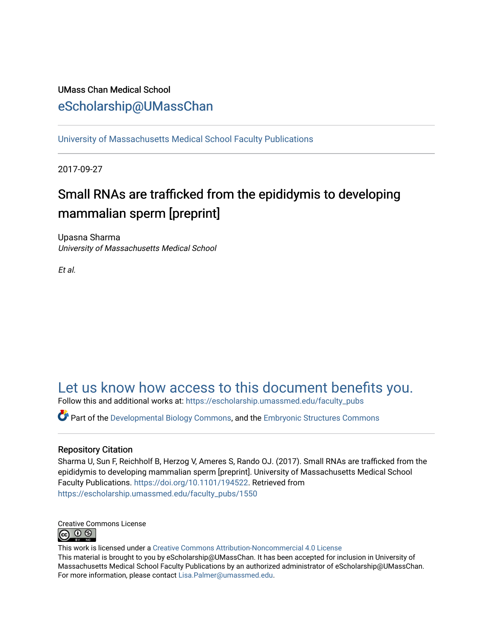# UMass Chan Medical School [eScholarship@UMassChan](https://escholarship.umassmed.edu/)

[University of Massachusetts Medical School Faculty Publications](https://escholarship.umassmed.edu/faculty_pubs)

2017-09-27

# Small RNAs are trafficked from the epididymis to developing mammalian sperm [preprint]

Upasna Sharma University of Massachusetts Medical School

Et al.

# [Let us know how access to this document benefits you.](https://arcsapps.umassmed.edu/redcap/surveys/?s=XWRHNF9EJE)

Follow this and additional works at: [https://escholarship.umassmed.edu/faculty\\_pubs](https://escholarship.umassmed.edu/faculty_pubs?utm_source=escholarship.umassmed.edu%2Ffaculty_pubs%2F1550&utm_medium=PDF&utm_campaign=PDFCoverPages) 

 $\bullet$  Part of the [Developmental Biology Commons](http://network.bepress.com/hgg/discipline/11?utm_source=escholarship.umassmed.edu%2Ffaculty_pubs%2F1550&utm_medium=PDF&utm_campaign=PDFCoverPages), and the Embryonic Structures Commons

#### Repository Citation

Sharma U, Sun F, Reichholf B, Herzog V, Ameres S, Rando OJ. (2017). Small RNAs are trafficked from the epididymis to developing mammalian sperm [preprint]. University of Massachusetts Medical School Faculty Publications. <https://doi.org/10.1101/194522>. Retrieved from [https://escholarship.umassmed.edu/faculty\\_pubs/1550](https://escholarship.umassmed.edu/faculty_pubs/1550?utm_source=escholarship.umassmed.edu%2Ffaculty_pubs%2F1550&utm_medium=PDF&utm_campaign=PDFCoverPages) 



This work is licensed under a [Creative Commons Attribution-Noncommercial 4.0 License](http://creativecommons.org/licenses/by-nc/4.0/)  This material is brought to you by eScholarship@UMassChan. It has been accepted for inclusion in University of Massachusetts Medical School Faculty Publications by an authorized administrator of eScholarship@UMassChan. For more information, please contact [Lisa.Palmer@umassmed.edu](mailto:Lisa.Palmer@umassmed.edu).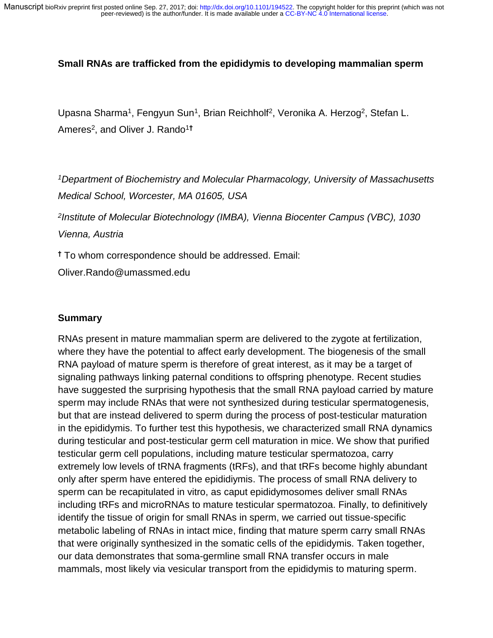#### **Small RNAs are trafficked from the epididymis to developing mammalian sperm**

Upasna Sharma<sup>1</sup>, Fengyun Sun<sup>1</sup>, Brian Reichholf<sup>2</sup>, Veronika A. Herzog<sup>2</sup>, Stefan L. Ameres<sup>2</sup> , and Oliver J. Rando<sup>1</sup>**†**

*<sup>1</sup>Department of Biochemistry and Molecular Pharmacology, University of Massachusetts Medical School, Worcester, MA 01605, USA* 

*2 Institute of Molecular Biotechnology (IMBA), Vienna Biocenter Campus (VBC), 1030 Vienna, Austria* 

**†** To whom correspondence should be addressed. Email:

Oliver.Rando@umassmed.edu

#### **Summary**

RNAs present in mature mammalian sperm are delivered to the zygote at fertilization, where they have the potential to affect early development. The biogenesis of the small RNA payload of mature sperm is therefore of great interest, as it may be a target of signaling pathways linking paternal conditions to offspring phenotype. Recent studies have suggested the surprising hypothesis that the small RNA payload carried by mature sperm may include RNAs that were not synthesized during testicular spermatogenesis, but that are instead delivered to sperm during the process of post-testicular maturation in the epididymis. To further test this hypothesis, we characterized small RNA dynamics during testicular and post-testicular germ cell maturation in mice. We show that purified testicular germ cell populations, including mature testicular spermatozoa, carry extremely low levels of tRNA fragments (tRFs), and that tRFs become highly abundant only after sperm have entered the epididiymis. The process of small RNA delivery to sperm can be recapitulated in vitro, as caput epididymosomes deliver small RNAs including tRFs and microRNAs to mature testicular spermatozoa. Finally, to definitively identify the tissue of origin for small RNAs in sperm, we carried out tissue-specific metabolic labeling of RNAs in intact mice, finding that mature sperm carry small RNAs that were originally synthesized in the somatic cells of the epididymis. Taken together, our data demonstrates that soma-germline small RNA transfer occurs in male mammals, most likely via vesicular transport from the epididymis to maturing sperm.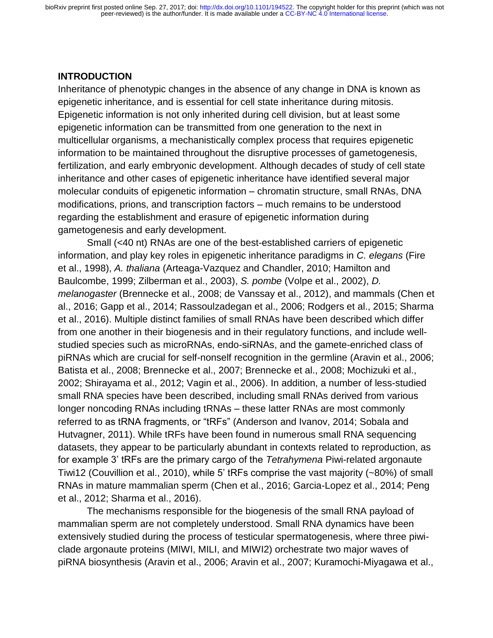#### **INTRODUCTION**

Inheritance of phenotypic changes in the absence of any change in DNA is known as epigenetic inheritance, and is essential for cell state inheritance during mitosis. Epigenetic information is not only inherited during cell division, but at least some epigenetic information can be transmitted from one generation to the next in multicellular organisms, a mechanistically complex process that requires epigenetic information to be maintained throughout the disruptive processes of gametogenesis, fertilization, and early embryonic development. Although decades of study of cell state inheritance and other cases of epigenetic inheritance have identified several major molecular conduits of epigenetic information – chromatin structure, small RNAs, DNA modifications, prions, and transcription factors – much remains to be understood regarding the establishment and erasure of epigenetic information during gametogenesis and early development.

Small (<40 nt) RNAs are one of the best-established carriers of epigenetic information, and play key roles in epigenetic inheritance paradigms in *C. elegans* (Fire et al., 1998), *A. thaliana* (Arteaga-Vazquez and Chandler, 2010; Hamilton and Baulcombe, 1999; Zilberman et al., 2003), *S. pombe* (Volpe et al., 2002), *D. melanogaster* (Brennecke et al., 2008; de Vanssay et al., 2012), and mammals (Chen et al., 2016; Gapp et al., 2014; Rassoulzadegan et al., 2006; Rodgers et al., 2015; Sharma et al., 2016). Multiple distinct families of small RNAs have been described which differ from one another in their biogenesis and in their regulatory functions, and include wellstudied species such as microRNAs, endo-siRNAs, and the gamete-enriched class of piRNAs which are crucial for self-nonself recognition in the germline (Aravin et al., 2006; Batista et al., 2008; Brennecke et al., 2007; Brennecke et al., 2008; Mochizuki et al., 2002; Shirayama et al., 2012; Vagin et al., 2006). In addition, a number of less-studied small RNA species have been described, including small RNAs derived from various longer noncoding RNAs including tRNAs – these latter RNAs are most commonly referred to as tRNA fragments, or "tRFs" (Anderson and Ivanov, 2014; Sobala and Hutvagner, 2011). While tRFs have been found in numerous small RNA sequencing datasets, they appear to be particularly abundant in contexts related to reproduction, as for example 3' tRFs are the primary cargo of the *Tetrahymena* Piwi-related argonaute Tiwi12 (Couvillion et al., 2010), while 5' tRFs comprise the vast majority (~80%) of small RNAs in mature mammalian sperm (Chen et al., 2016; Garcia-Lopez et al., 2014; Peng et al., 2012; Sharma et al., 2016).

The mechanisms responsible for the biogenesis of the small RNA payload of mammalian sperm are not completely understood. Small RNA dynamics have been extensively studied during the process of testicular spermatogenesis, where three piwiclade argonaute proteins (MIWI, MILI, and MIWI2) orchestrate two major waves of piRNA biosynthesis (Aravin et al., 2006; Aravin et al., 2007; Kuramochi-Miyagawa et al.,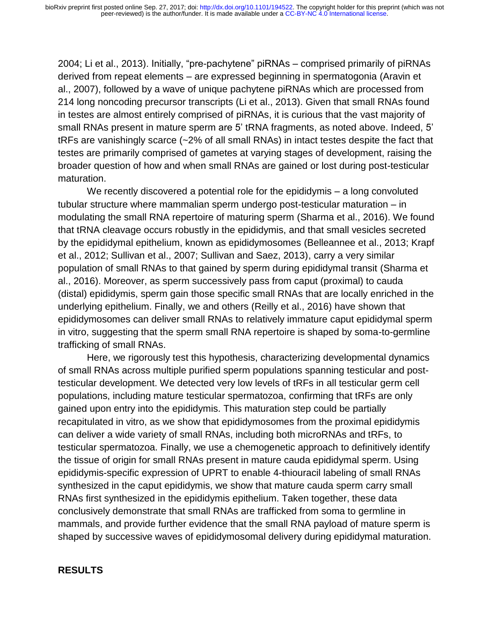2004; Li et al., 2013). Initially, "pre-pachytene" piRNAs – comprised primarily of piRNAs derived from repeat elements – are expressed beginning in spermatogonia (Aravin et al., 2007), followed by a wave of unique pachytene piRNAs which are processed from 214 long noncoding precursor transcripts (Li et al., 2013). Given that small RNAs found in testes are almost entirely comprised of piRNAs, it is curious that the vast majority of small RNAs present in mature sperm are 5' tRNA fragments, as noted above. Indeed, 5' tRFs are vanishingly scarce (~2% of all small RNAs) in intact testes despite the fact that testes are primarily comprised of gametes at varying stages of development, raising the broader question of how and when small RNAs are gained or lost during post-testicular maturation.

We recently discovered a potential role for the epididymis – a long convoluted tubular structure where mammalian sperm undergo post-testicular maturation – in modulating the small RNA repertoire of maturing sperm (Sharma et al., 2016). We found that tRNA cleavage occurs robustly in the epididymis, and that small vesicles secreted by the epididymal epithelium, known as epididymosomes (Belleannee et al., 2013; Krapf et al., 2012; Sullivan et al., 2007; Sullivan and Saez, 2013), carry a very similar population of small RNAs to that gained by sperm during epididymal transit (Sharma et al., 2016). Moreover, as sperm successively pass from caput (proximal) to cauda (distal) epididymis, sperm gain those specific small RNAs that are locally enriched in the underlying epithelium. Finally, we and others (Reilly et al., 2016) have shown that epididymosomes can deliver small RNAs to relatively immature caput epididymal sperm in vitro, suggesting that the sperm small RNA repertoire is shaped by soma-to-germline trafficking of small RNAs.

Here, we rigorously test this hypothesis, characterizing developmental dynamics of small RNAs across multiple purified sperm populations spanning testicular and posttesticular development. We detected very low levels of tRFs in all testicular germ cell populations, including mature testicular spermatozoa, confirming that tRFs are only gained upon entry into the epididymis. This maturation step could be partially recapitulated in vitro, as we show that epididymosomes from the proximal epididymis can deliver a wide variety of small RNAs, including both microRNAs and tRFs, to testicular spermatozoa. Finally, we use a chemogenetic approach to definitively identify the tissue of origin for small RNAs present in mature cauda epididymal sperm. Using epididymis-specific expression of UPRT to enable 4-thiouracil labeling of small RNAs synthesized in the caput epididymis, we show that mature cauda sperm carry small RNAs first synthesized in the epididymis epithelium. Taken together, these data conclusively demonstrate that small RNAs are trafficked from soma to germline in mammals, and provide further evidence that the small RNA payload of mature sperm is shaped by successive waves of epididymosomal delivery during epididymal maturation.

#### **RESULTS**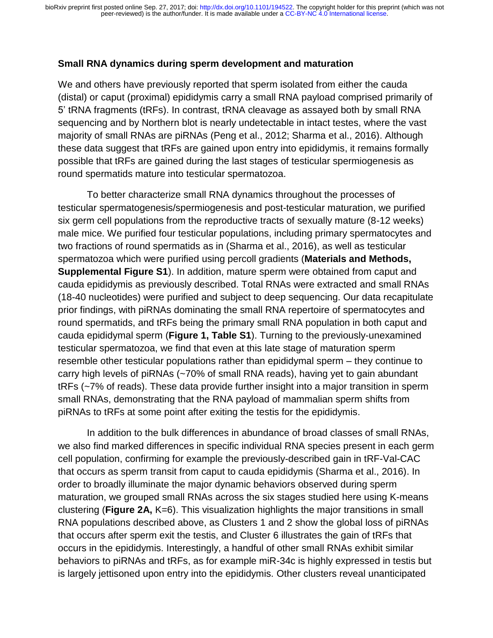#### **Small RNA dynamics during sperm development and maturation**

We and others have previously reported that sperm isolated from either the cauda (distal) or caput (proximal) epididymis carry a small RNA payload comprised primarily of 5' tRNA fragments (tRFs). In contrast, tRNA cleavage as assayed both by small RNA sequencing and by Northern blot is nearly undetectable in intact testes, where the vast majority of small RNAs are piRNAs (Peng et al., 2012; Sharma et al., 2016). Although these data suggest that tRFs are gained upon entry into epididymis, it remains formally possible that tRFs are gained during the last stages of testicular spermiogenesis as round spermatids mature into testicular spermatozoa.

To better characterize small RNA dynamics throughout the processes of testicular spermatogenesis/spermiogenesis and post-testicular maturation, we purified six germ cell populations from the reproductive tracts of sexually mature (8-12 weeks) male mice. We purified four testicular populations, including primary spermatocytes and two fractions of round spermatids as in (Sharma et al., 2016), as well as testicular spermatozoa which were purified using percoll gradients (**Materials and Methods, Supplemental Figure S1**). In addition, mature sperm were obtained from caput and cauda epididymis as previously described. Total RNAs were extracted and small RNAs (18-40 nucleotides) were purified and subject to deep sequencing. Our data recapitulate prior findings, with piRNAs dominating the small RNA repertoire of spermatocytes and round spermatids, and tRFs being the primary small RNA population in both caput and cauda epididymal sperm (**Figure 1, Table S1**). Turning to the previously-unexamined testicular spermatozoa, we find that even at this late stage of maturation sperm resemble other testicular populations rather than epididymal sperm – they continue to carry high levels of piRNAs (~70% of small RNA reads), having yet to gain abundant tRFs (~7% of reads). These data provide further insight into a major transition in sperm small RNAs, demonstrating that the RNA payload of mammalian sperm shifts from piRNAs to tRFs at some point after exiting the testis for the epididymis.

In addition to the bulk differences in abundance of broad classes of small RNAs, we also find marked differences in specific individual RNA species present in each germ cell population, confirming for example the previously-described gain in tRF-Val-CAC that occurs as sperm transit from caput to cauda epididymis (Sharma et al., 2016). In order to broadly illuminate the major dynamic behaviors observed during sperm maturation, we grouped small RNAs across the six stages studied here using K-means clustering (**Figure 2A,** K=6). This visualization highlights the major transitions in small RNA populations described above, as Clusters 1 and 2 show the global loss of piRNAs that occurs after sperm exit the testis, and Cluster 6 illustrates the gain of tRFs that occurs in the epididymis. Interestingly, a handful of other small RNAs exhibit similar behaviors to piRNAs and tRFs, as for example miR-34c is highly expressed in testis but is largely jettisoned upon entry into the epididymis. Other clusters reveal unanticipated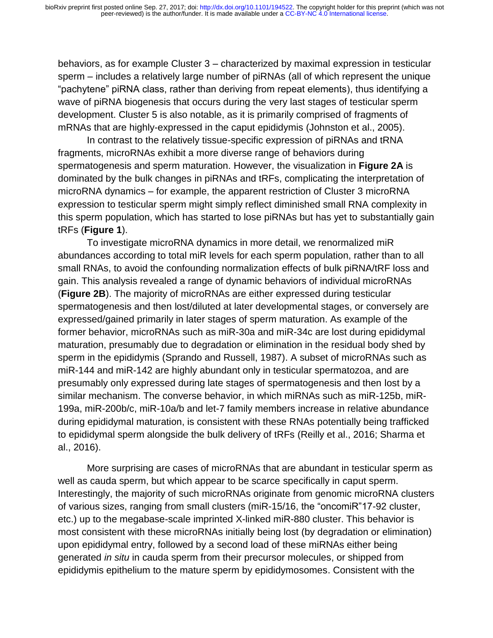behaviors, as for example Cluster 3 – characterized by maximal expression in testicular sperm – includes a relatively large number of piRNAs (all of which represent the unique "pachytene" piRNA class, rather than deriving from repeat elements), thus identifying a wave of piRNA biogenesis that occurs during the very last stages of testicular sperm development. Cluster 5 is also notable, as it is primarily comprised of fragments of mRNAs that are highly-expressed in the caput epididymis (Johnston et al., 2005).

In contrast to the relatively tissue-specific expression of piRNAs and tRNA fragments, microRNAs exhibit a more diverse range of behaviors during spermatogenesis and sperm maturation. However, the visualization in **Figure 2A** is dominated by the bulk changes in piRNAs and tRFs, complicating the interpretation of microRNA dynamics – for example, the apparent restriction of Cluster 3 microRNA expression to testicular sperm might simply reflect diminished small RNA complexity in this sperm population, which has started to lose piRNAs but has yet to substantially gain tRFs (**Figure 1**).

To investigate microRNA dynamics in more detail, we renormalized miR abundances according to total miR levels for each sperm population, rather than to all small RNAs, to avoid the confounding normalization effects of bulk piRNA/tRF loss and gain. This analysis revealed a range of dynamic behaviors of individual microRNAs (**Figure 2B**). The majority of microRNAs are either expressed during testicular spermatogenesis and then lost/diluted at later developmental stages, or conversely are expressed/gained primarily in later stages of sperm maturation. As example of the former behavior, microRNAs such as miR-30a and miR-34c are lost during epididymal maturation, presumably due to degradation or elimination in the residual body shed by sperm in the epididymis (Sprando and Russell, 1987). A subset of microRNAs such as miR-144 and miR-142 are highly abundant only in testicular spermatozoa, and are presumably only expressed during late stages of spermatogenesis and then lost by a similar mechanism. The converse behavior, in which miRNAs such as miR-125b, miR-199a, miR-200b/c, miR-10a/b and let-7 family members increase in relative abundance during epididymal maturation, is consistent with these RNAs potentially being trafficked to epididymal sperm alongside the bulk delivery of tRFs (Reilly et al., 2016; Sharma et al., 2016).

More surprising are cases of microRNAs that are abundant in testicular sperm as well as cauda sperm, but which appear to be scarce specifically in caput sperm. Interestingly, the majority of such microRNAs originate from genomic microRNA clusters of various sizes, ranging from small clusters (miR-15/16, the "oncomiR"17-92 cluster, etc.) up to the megabase-scale imprinted X-linked miR-880 cluster. This behavior is most consistent with these microRNAs initially being lost (by degradation or elimination) upon epididymal entry, followed by a second load of these miRNAs either being generated *in situ* in cauda sperm from their precursor molecules, or shipped from epididymis epithelium to the mature sperm by epididymosomes. Consistent with the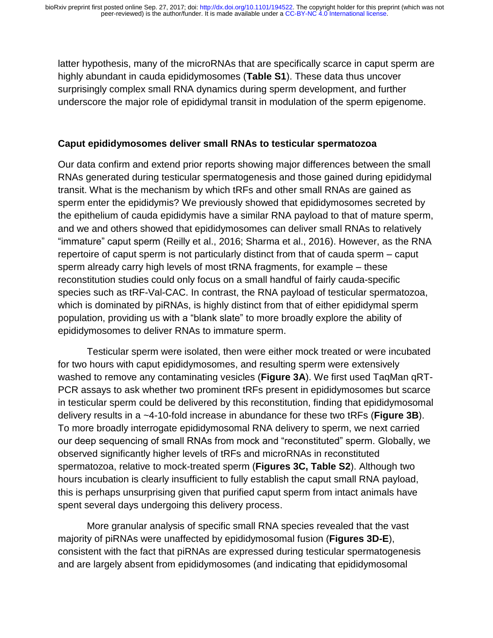latter hypothesis, many of the microRNAs that are specifically scarce in caput sperm are highly abundant in cauda epididymosomes (**Table S1**). These data thus uncover surprisingly complex small RNA dynamics during sperm development, and further underscore the major role of epididymal transit in modulation of the sperm epigenome.

#### **Caput epididymosomes deliver small RNAs to testicular spermatozoa**

Our data confirm and extend prior reports showing major differences between the small RNAs generated during testicular spermatogenesis and those gained during epididymal transit. What is the mechanism by which tRFs and other small RNAs are gained as sperm enter the epididymis? We previously showed that epididymosomes secreted by the epithelium of cauda epididymis have a similar RNA payload to that of mature sperm, and we and others showed that epididymosomes can deliver small RNAs to relatively "immature" caput sperm (Reilly et al., 2016; Sharma et al., 2016). However, as the RNA repertoire of caput sperm is not particularly distinct from that of cauda sperm – caput sperm already carry high levels of most tRNA fragments, for example – these reconstitution studies could only focus on a small handful of fairly cauda-specific species such as tRF-Val-CAC. In contrast, the RNA payload of testicular spermatozoa, which is dominated by piRNAs, is highly distinct from that of either epididymal sperm population, providing us with a "blank slate" to more broadly explore the ability of epididymosomes to deliver RNAs to immature sperm.

Testicular sperm were isolated, then were either mock treated or were incubated for two hours with caput epididymosomes, and resulting sperm were extensively washed to remove any contaminating vesicles (**Figure 3A**). We first used TaqMan qRT-PCR assays to ask whether two prominent tRFs present in epididymosomes but scarce in testicular sperm could be delivered by this reconstitution, finding that epididymosomal delivery results in a ~4-10-fold increase in abundance for these two tRFs (**Figure 3B**). To more broadly interrogate epididymosomal RNA delivery to sperm, we next carried our deep sequencing of small RNAs from mock and "reconstituted" sperm. Globally, we observed significantly higher levels of tRFs and microRNAs in reconstituted spermatozoa, relative to mock-treated sperm (**Figures 3C, Table S2**). Although two hours incubation is clearly insufficient to fully establish the caput small RNA payload, this is perhaps unsurprising given that purified caput sperm from intact animals have spent several days undergoing this delivery process.

More granular analysis of specific small RNA species revealed that the vast majority of piRNAs were unaffected by epididymosomal fusion (**Figures 3D-E**), consistent with the fact that piRNAs are expressed during testicular spermatogenesis and are largely absent from epididymosomes (and indicating that epididymosomal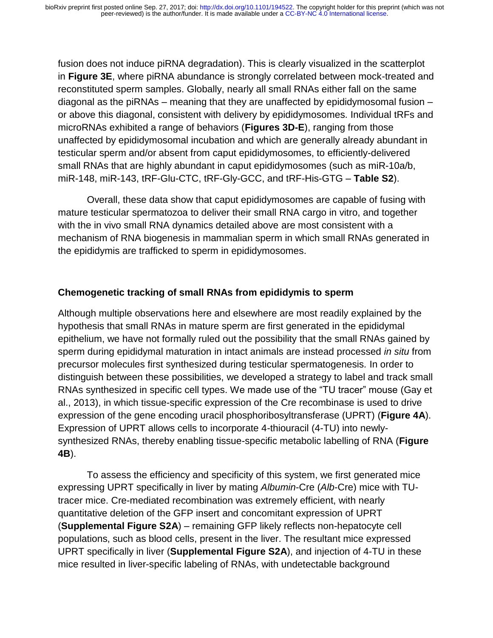fusion does not induce piRNA degradation). This is clearly visualized in the scatterplot in **Figure 3E**, where piRNA abundance is strongly correlated between mock-treated and reconstituted sperm samples. Globally, nearly all small RNAs either fall on the same diagonal as the piRNAs – meaning that they are unaffected by epididymosomal fusion – or above this diagonal, consistent with delivery by epididymosomes. Individual tRFs and microRNAs exhibited a range of behaviors (**Figures 3D-E**), ranging from those unaffected by epididymosomal incubation and which are generally already abundant in testicular sperm and/or absent from caput epididymosomes, to efficiently-delivered small RNAs that are highly abundant in caput epididymosomes (such as miR-10a/b, miR-148, miR-143, tRF-Glu-CTC, tRF-Gly-GCC, and tRF-His-GTG – **Table S2**).

Overall, these data show that caput epididymosomes are capable of fusing with mature testicular spermatozoa to deliver their small RNA cargo in vitro, and together with the in vivo small RNA dynamics detailed above are most consistent with a mechanism of RNA biogenesis in mammalian sperm in which small RNAs generated in the epididymis are trafficked to sperm in epididymosomes.

#### **Chemogenetic tracking of small RNAs from epididymis to sperm**

Although multiple observations here and elsewhere are most readily explained by the hypothesis that small RNAs in mature sperm are first generated in the epididymal epithelium, we have not formally ruled out the possibility that the small RNAs gained by sperm during epididymal maturation in intact animals are instead processed *in situ* from precursor molecules first synthesized during testicular spermatogenesis*.* In order to distinguish between these possibilities, we developed a strategy to label and track small RNAs synthesized in specific cell types. We made use of the "TU tracer" mouse (Gay et al., 2013), in which tissue-specific expression of the Cre recombinase is used to drive expression of the gene encoding uracil phosphoribosyltransferase (UPRT) (**Figure 4A**). Expression of UPRT allows cells to incorporate 4-thiouracil (4-TU) into newlysynthesized RNAs, thereby enabling tissue-specific metabolic labelling of RNA (**Figure 4B**).

To assess the efficiency and specificity of this system, we first generated mice expressing UPRT specifically in liver by mating *Albumin*-Cre (*Alb*-Cre) mice with TUtracer mice. Cre-mediated recombination was extremely efficient, with nearly quantitative deletion of the GFP insert and concomitant expression of UPRT (**Supplemental Figure S2A**) – remaining GFP likely reflects non-hepatocyte cell populations, such as blood cells, present in the liver. The resultant mice expressed UPRT specifically in liver (**Supplemental Figure S2A**), and injection of 4-TU in these mice resulted in liver-specific labeling of RNAs, with undetectable background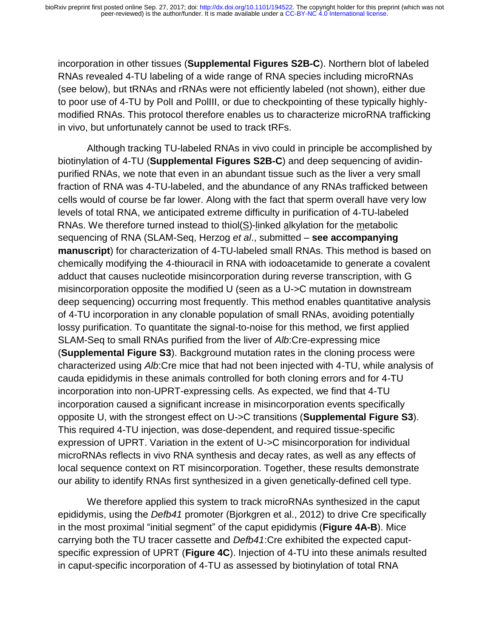incorporation in other tissues (**Supplemental Figures S2B-C**). Northern blot of labeled RNAs revealed 4-TU labeling of a wide range of RNA species including microRNAs (see below), but tRNAs and rRNAs were not efficiently labeled (not shown), either due to poor use of 4-TU by PolI and PolIII, or due to checkpointing of these typically highlymodified RNAs. This protocol therefore enables us to characterize microRNA trafficking in vivo, but unfortunately cannot be used to track tRFs.

Although tracking TU-labeled RNAs in vivo could in principle be accomplished by biotinylation of 4-TU (**Supplemental Figures S2B-C**) and deep sequencing of avidinpurified RNAs, we note that even in an abundant tissue such as the liver a very small fraction of RNA was 4-TU-labeled, and the abundance of any RNAs trafficked between cells would of course be far lower. Along with the fact that sperm overall have very low levels of total RNA, we anticipated extreme difficulty in purification of 4-TU-labeled RNAs. We therefore turned instead to thiol( $S$ )-linked alkylation for the metabolic sequencing of RNA (SLAM-Seq, Herzog *et al*., submitted – **see accompanying manuscript**) for characterization of 4-TU-labeled small RNAs. This method is based on chemically modifying the 4-thiouracil in RNA with iodoacetamide to generate a covalent adduct that causes nucleotide misincorporation during reverse transcription, with G misincorporation opposite the modified U (seen as a U->C mutation in downstream deep sequencing) occurring most frequently. This method enables quantitative analysis of 4-TU incorporation in any clonable population of small RNAs, avoiding potentially lossy purification. To quantitate the signal-to-noise for this method, we first applied SLAM-Seq to small RNAs purified from the liver of *Alb*:Cre-expressing mice (**Supplemental Figure S3**). Background mutation rates in the cloning process were characterized using *Alb*:Cre mice that had not been injected with 4-TU, while analysis of cauda epididymis in these animals controlled for both cloning errors and for 4-TU incorporation into non-UPRT-expressing cells. As expected, we find that 4-TU incorporation caused a significant increase in misincorporation events specifically opposite U, with the strongest effect on U->C transitions (**Supplemental Figure S3**). This required 4-TU injection, was dose-dependent, and required tissue-specific expression of UPRT. Variation in the extent of U->C misincorporation for individual microRNAs reflects in vivo RNA synthesis and decay rates, as well as any effects of local sequence context on RT misincorporation. Together, these results demonstrate our ability to identify RNAs first synthesized in a given genetically-defined cell type.

We therefore applied this system to track microRNAs synthesized in the caput epididymis, using the *Defb41* promoter (Bjorkgren et al., 2012) to drive Cre specifically in the most proximal "initial segment" of the caput epididymis (**Figure 4A-B**). Mice carrying both the TU tracer cassette and *Defb41*:Cre exhibited the expected caputspecific expression of UPRT (**Figure 4C**). Injection of 4-TU into these animals resulted in caput-specific incorporation of 4-TU as assessed by biotinylation of total RNA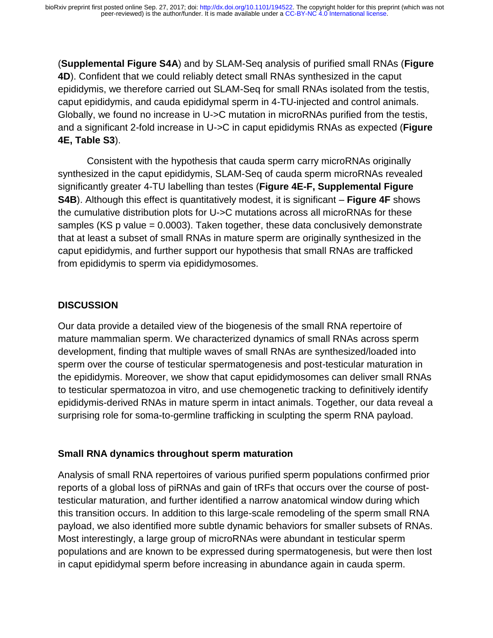(**Supplemental Figure S4A**) and by SLAM-Seq analysis of purified small RNAs (**Figure 4D**). Confident that we could reliably detect small RNAs synthesized in the caput epididymis, we therefore carried out SLAM-Seq for small RNAs isolated from the testis, caput epididymis, and cauda epididymal sperm in 4-TU-injected and control animals. Globally, we found no increase in U->C mutation in microRNAs purified from the testis, and a significant 2-fold increase in U->C in caput epididymis RNAs as expected (**Figure 4E, Table S3**).

Consistent with the hypothesis that cauda sperm carry microRNAs originally synthesized in the caput epididymis, SLAM-Seq of cauda sperm microRNAs revealed significantly greater 4-TU labelling than testes (**Figure 4E-F, Supplemental Figure S4B**). Although this effect is quantitatively modest, it is significant – **Figure 4F** shows the cumulative distribution plots for U->C mutations across all microRNAs for these samples (KS p value = 0.0003). Taken together, these data conclusively demonstrate that at least a subset of small RNAs in mature sperm are originally synthesized in the caput epididymis, and further support our hypothesis that small RNAs are trafficked from epididymis to sperm via epididymosomes.

#### **DISCUSSION**

Our data provide a detailed view of the biogenesis of the small RNA repertoire of mature mammalian sperm. We characterized dynamics of small RNAs across sperm development, finding that multiple waves of small RNAs are synthesized/loaded into sperm over the course of testicular spermatogenesis and post-testicular maturation in the epididymis. Moreover, we show that caput epididymosomes can deliver small RNAs to testicular spermatozoa in vitro, and use chemogenetic tracking to definitively identify epididymis-derived RNAs in mature sperm in intact animals. Together, our data reveal a surprising role for soma-to-germline trafficking in sculpting the sperm RNA payload.

#### **Small RNA dynamics throughout sperm maturation**

Analysis of small RNA repertoires of various purified sperm populations confirmed prior reports of a global loss of piRNAs and gain of tRFs that occurs over the course of posttesticular maturation, and further identified a narrow anatomical window during which this transition occurs. In addition to this large-scale remodeling of the sperm small RNA payload, we also identified more subtle dynamic behaviors for smaller subsets of RNAs. Most interestingly, a large group of microRNAs were abundant in testicular sperm populations and are known to be expressed during spermatogenesis, but were then lost in caput epididymal sperm before increasing in abundance again in cauda sperm.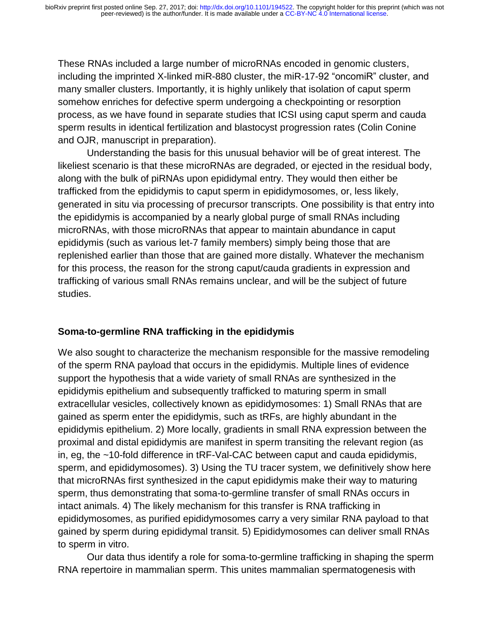These RNAs included a large number of microRNAs encoded in genomic clusters, including the imprinted X-linked miR-880 cluster, the miR-17-92 "oncomiR" cluster, and many smaller clusters. Importantly, it is highly unlikely that isolation of caput sperm somehow enriches for defective sperm undergoing a checkpointing or resorption process, as we have found in separate studies that ICSI using caput sperm and cauda sperm results in identical fertilization and blastocyst progression rates (Colin Conine and OJR, manuscript in preparation).

Understanding the basis for this unusual behavior will be of great interest. The likeliest scenario is that these microRNAs are degraded, or ejected in the residual body, along with the bulk of piRNAs upon epididymal entry. They would then either be trafficked from the epididymis to caput sperm in epididymosomes, or, less likely, generated in situ via processing of precursor transcripts. One possibility is that entry into the epididymis is accompanied by a nearly global purge of small RNAs including microRNAs, with those microRNAs that appear to maintain abundance in caput epididymis (such as various let-7 family members) simply being those that are replenished earlier than those that are gained more distally. Whatever the mechanism for this process, the reason for the strong caput/cauda gradients in expression and trafficking of various small RNAs remains unclear, and will be the subject of future studies.

#### **Soma-to-germline RNA trafficking in the epididymis**

We also sought to characterize the mechanism responsible for the massive remodeling of the sperm RNA payload that occurs in the epididymis. Multiple lines of evidence support the hypothesis that a wide variety of small RNAs are synthesized in the epididymis epithelium and subsequently trafficked to maturing sperm in small extracellular vesicles, collectively known as epididymosomes: 1) Small RNAs that are gained as sperm enter the epididymis, such as tRFs, are highly abundant in the epididymis epithelium. 2) More locally, gradients in small RNA expression between the proximal and distal epididymis are manifest in sperm transiting the relevant region (as in, eg, the ~10-fold difference in tRF-Val-CAC between caput and cauda epididymis, sperm, and epididymosomes). 3) Using the TU tracer system, we definitively show here that microRNAs first synthesized in the caput epididymis make their way to maturing sperm, thus demonstrating that soma-to-germline transfer of small RNAs occurs in intact animals. 4) The likely mechanism for this transfer is RNA trafficking in epididymosomes, as purified epididymosomes carry a very similar RNA payload to that gained by sperm during epididymal transit. 5) Epididymosomes can deliver small RNAs to sperm in vitro.

Our data thus identify a role for soma-to-germline trafficking in shaping the sperm RNA repertoire in mammalian sperm. This unites mammalian spermatogenesis with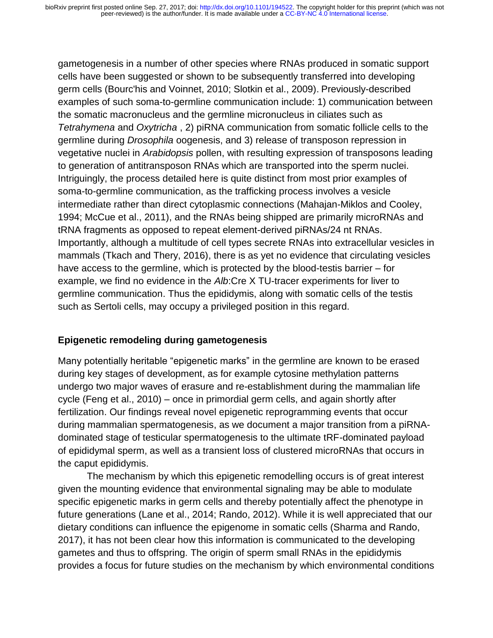gametogenesis in a number of other species where RNAs produced in somatic support cells have been suggested or shown to be subsequently transferred into developing germ cells (Bourc'his and Voinnet, 2010; Slotkin et al., 2009). Previously-described examples of such soma-to-germline communication include: 1) communication between the somatic macronucleus and the germline micronucleus in ciliates such as *Tetrahymena* and *Oxytricha* , 2) piRNA communication from somatic follicle cells to the germline during *Drosophila* oogenesis, and 3) release of transposon repression in vegetative nuclei in *Arabidopsis* pollen, with resulting expression of transposons leading to generation of antitransposon RNAs which are transported into the sperm nuclei. Intriguingly, the process detailed here is quite distinct from most prior examples of soma-to-germline communication, as the trafficking process involves a vesicle intermediate rather than direct cytoplasmic connections (Mahajan-Miklos and Cooley, 1994; McCue et al., 2011), and the RNAs being shipped are primarily microRNAs and tRNA fragments as opposed to repeat element-derived piRNAs/24 nt RNAs. Importantly, although a multitude of cell types secrete RNAs into extracellular vesicles in mammals (Tkach and Thery, 2016), there is as yet no evidence that circulating vesicles have access to the germline, which is protected by the blood-testis barrier – for example, we find no evidence in the *Alb*:Cre X TU-tracer experiments for liver to germline communication. Thus the epididymis, along with somatic cells of the testis such as Sertoli cells, may occupy a privileged position in this regard.

#### **Epigenetic remodeling during gametogenesis**

Many potentially heritable "epigenetic marks" in the germline are known to be erased during key stages of development, as for example cytosine methylation patterns undergo two major waves of erasure and re-establishment during the mammalian life cycle (Feng et al., 2010) – once in primordial germ cells, and again shortly after fertilization. Our findings reveal novel epigenetic reprogramming events that occur during mammalian spermatogenesis, as we document a major transition from a piRNAdominated stage of testicular spermatogenesis to the ultimate tRF-dominated payload of epididymal sperm, as well as a transient loss of clustered microRNAs that occurs in the caput epididymis.

 The mechanism by which this epigenetic remodelling occurs is of great interest given the mounting evidence that environmental signaling may be able to modulate specific epigenetic marks in germ cells and thereby potentially affect the phenotype in future generations (Lane et al., 2014; Rando, 2012). While it is well appreciated that our dietary conditions can influence the epigenome in somatic cells (Sharma and Rando, 2017), it has not been clear how this information is communicated to the developing gametes and thus to offspring. The origin of sperm small RNAs in the epididymis provides a focus for future studies on the mechanism by which environmental conditions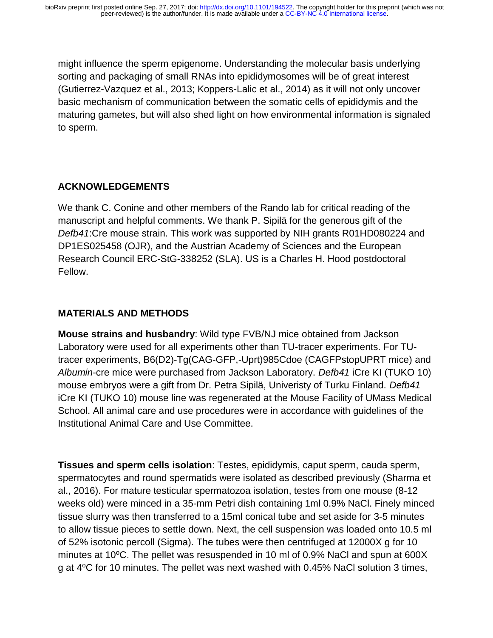might influence the sperm epigenome. Understanding the molecular basis underlying sorting and packaging of small RNAs into epididymosomes will be of great interest (Gutierrez-Vazquez et al., 2013; Koppers-Lalic et al., 2014) as it will not only uncover basic mechanism of communication between the somatic cells of epididymis and the maturing gametes, but will also shed light on how environmental information is signaled to sperm.

# **ACKNOWLEDGEMENTS**

We thank C. Conine and other members of the Rando lab for critical reading of the manuscript and helpful comments. We thank P. Sipilä for the generous gift of the *Defb41*:Cre mouse strain. This work was supported by NIH grants R01HD080224 and DP1ES025458 (OJR), and the Austrian Academy of Sciences and the European Research Council ERC-StG-338252 (SLA). US is a Charles H. Hood postdoctoral Fellow.

### **MATERIALS AND METHODS**

**Mouse strains and husbandry**: Wild type FVB/NJ mice obtained from Jackson Laboratory were used for all experiments other than TU-tracer experiments. For TUtracer experiments, B6(D2)-Tg(CAG-GFP,-Uprt)985Cdoe (CAGFPstopUPRT mice) and *Albumin*-cre mice were purchased from Jackson Laboratory. *Defb41* iCre KI (TUKO 10) mouse embryos were a gift from Dr. Petra Sipilä, Univeristy of Turku Finland. *Defb41*  iCre KI (TUKO 10) mouse line was regenerated at the Mouse Facility of UMass Medical School. All animal care and use procedures were in accordance with guidelines of the Institutional Animal Care and Use Committee.

**Tissues and sperm cells isolation**: Testes, epididymis, caput sperm, cauda sperm, spermatocytes and round spermatids were isolated as described previously (Sharma et al., 2016). For mature testicular spermatozoa isolation, testes from one mouse (8-12 weeks old) were minced in a 35-mm Petri dish containing 1ml 0.9% NaCl. Finely minced tissue slurry was then transferred to a 15ml conical tube and set aside for 3-5 minutes to allow tissue pieces to settle down. Next, the cell suspension was loaded onto 10.5 ml of 52% isotonic percoll (Sigma). The tubes were then centrifuged at 12000X g for 10 minutes at 10 $\degree$ C. The pellet was resuspended in 10 ml of 0.9% NaCl and spun at 600X g at 4<sup>o</sup>C for 10 minutes. The pellet was next washed with 0.45% NaCl solution 3 times,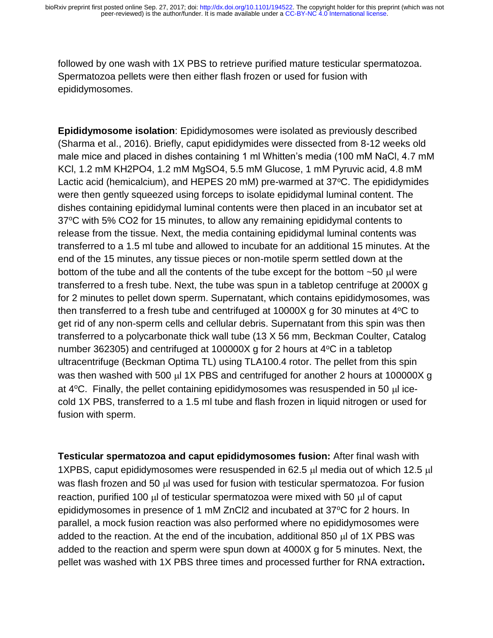followed by one wash with 1X PBS to retrieve purified mature testicular spermatozoa. Spermatozoa pellets were then either flash frozen or used for fusion with epididymosomes.

**Epididymosome isolation**: Epididymosomes were isolated as previously described (Sharma et al., 2016). Briefly, caput epididymides were dissected from 8-12 weeks old male mice and placed in dishes containing 1 ml Whitten's media (100 mM NaCl, 4.7 mM KCl, 1.2 mM KH2PO4, 1.2 mM MgSO4, 5.5 mM Glucose, 1 mM Pyruvic acid, 4.8 mM Lactic acid (hemicalcium), and HEPES 20 mM) pre-warmed at 37°C. The epididymides were then gently squeezed using forceps to isolate epididymal luminal content. The dishes containing epididymal luminal contents were then placed in an incubator set at 37<sup>o</sup>C with 5% CO2 for 15 minutes, to allow any remaining epididymal contents to release from the tissue. Next, the media containing epididymal luminal contents was transferred to a 1.5 ml tube and allowed to incubate for an additional 15 minutes. At the end of the 15 minutes, any tissue pieces or non-motile sperm settled down at the bottom of the tube and all the contents of the tube except for the bottom  $\sim$ 50  $\mu$  were transferred to a fresh tube. Next, the tube was spun in a tabletop centrifuge at 2000X g for 2 minutes to pellet down sperm. Supernatant, which contains epididymosomes, was then transferred to a fresh tube and centrifuged at  $10000X$  g for 30 minutes at  $4^{\circ}$ C to get rid of any non-sperm cells and cellular debris. Supernatant from this spin was then transferred to a polycarbonate thick wall tube (13 X 56 mm, Beckman Coulter, Catalog number 362305) and centrifuged at 100000X g for 2 hours at  $4^{\circ}$ C in a tabletop ultracentrifuge (Beckman Optima TL) using TLA100.4 rotor. The pellet from this spin was then washed with 500  $\mu$  1X PBS and centrifuged for another 2 hours at 100000X g at  $4^{\circ}$ C. Finally, the pellet containing epididymosomes was resuspended in 50  $\mu$  icecold 1X PBS, transferred to a 1.5 ml tube and flash frozen in liquid nitrogen or used for fusion with sperm.

**Testicular spermatozoa and caput epididymosomes fusion:** After final wash with 1XPBS, caput epididymosomes were resuspended in 62.5  $\mu$  media out of which 12.5  $\mu$ was flash frozen and 50  $\mu$  was used for fusion with testicular spermatozoa. For fusion reaction, purified 100 ul of testicular spermatozoa were mixed with 50 ul of caput epididymosomes in presence of 1 mM ZnCl2 and incubated at 37°C for 2 hours. In parallel, a mock fusion reaction was also performed where no epididymosomes were added to the reaction. At the end of the incubation, additional 850  $\mu$ l of 1X PBS was added to the reaction and sperm were spun down at 4000X g for 5 minutes. Next, the pellet was washed with 1X PBS three times and processed further for RNA extraction**.**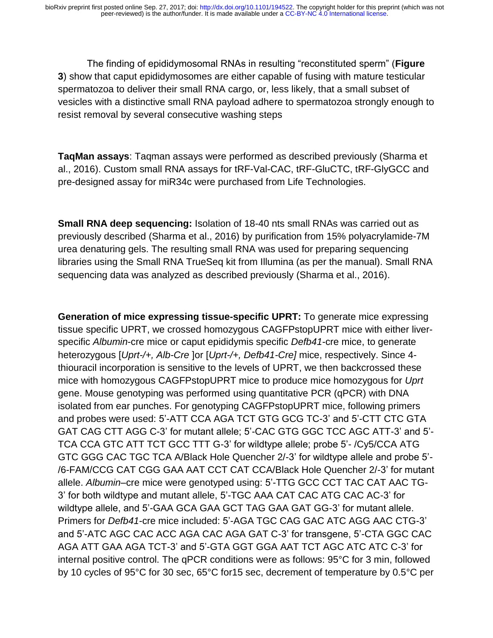The finding of epididymosomal RNAs in resulting "reconstituted sperm" (**Figure 3**) show that caput epididymosomes are either capable of fusing with mature testicular spermatozoa to deliver their small RNA cargo, or, less likely, that a small subset of vesicles with a distinctive small RNA payload adhere to spermatozoa strongly enough to resist removal by several consecutive washing steps

**TaqMan assays**: Taqman assays were performed as described previously (Sharma et al., 2016). Custom small RNA assays for tRF-Val-CAC, tRF-GluCTC, tRF-GlyGCC and pre-designed assay for miR34c were purchased from Life Technologies.

**Small RNA deep sequencing:** Isolation of 18-40 nts small RNAs was carried out as previously described (Sharma et al., 2016) by purification from 15% polyacrylamide-7M urea denaturing gels. The resulting small RNA was used for preparing sequencing libraries using the Small RNA TrueSeq kit from Illumina (as per the manual). Small RNA sequencing data was analyzed as described previously (Sharma et al., 2016).

**Generation of mice expressing tissue-specific UPRT:** To generate mice expressing tissue specific UPRT, we crossed homozygous CAGFPstopUPRT mice with either liverspecific *Albumin*-cre mice or caput epididymis specific *Defb41*-cre mice, to generate heterozygous [*Uprt-/+, Alb-Cre* ]or [*Uprt-/+, Defb41-Cre]* mice, respectively. Since 4 thiouracil incorporation is sensitive to the levels of UPRT, we then backcrossed these mice with homozygous CAGFPstopUPRT mice to produce mice homozygous for *Uprt* gene. Mouse genotyping was performed using quantitative PCR (qPCR) with DNA isolated from ear punches. For genotyping CAGFPstopUPRT mice, following primers and probes were used: 5'-ATT CCA AGA TCT GTG GCG TC-3' and 5'-CTT CTC GTA GAT CAG CTT AGG C-3' for mutant allele; 5'-CAC GTG GGC TCC AGC ATT-3' and 5'- TCA CCA GTC ATT TCT GCC TTT G-3' for wildtype allele; probe 5'- /Cy5/CCA ATG GTC GGG CAC TGC TCA A/Black Hole Quencher 2/-3' for wildtype allele and probe 5'- /6-FAM/CCG CAT CGG GAA AAT CCT CAT CCA/Black Hole Quencher 2/-3' for mutant allele. *Albumin*–cre mice were genotyped using: 5'-TTG GCC CCT TAC CAT AAC TG-3' for both wildtype and mutant allele, 5'-TGC AAA CAT CAC ATG CAC AC-3' for wildtype allele, and 5'-GAA GCA GAA GCT TAG GAA GAT GG-3' for mutant allele. Primers for *Defb41*-cre mice included: 5'-AGA TGC CAG GAC ATC AGG AAC CTG-3' and 5'-ATC AGC CAC ACC AGA CAC AGA GAT C-3' for transgene, 5'-CTA GGC CAC AGA ATT GAA AGA TCT-3' and 5'-GTA GGT GGA AAT TCT AGC ATC ATC C-3' for internal positive control. The qPCR conditions were as follows: 95°C for 3 min, followed by 10 cycles of 95°C for 30 sec, 65°C for15 sec, decrement of temperature by 0.5°C per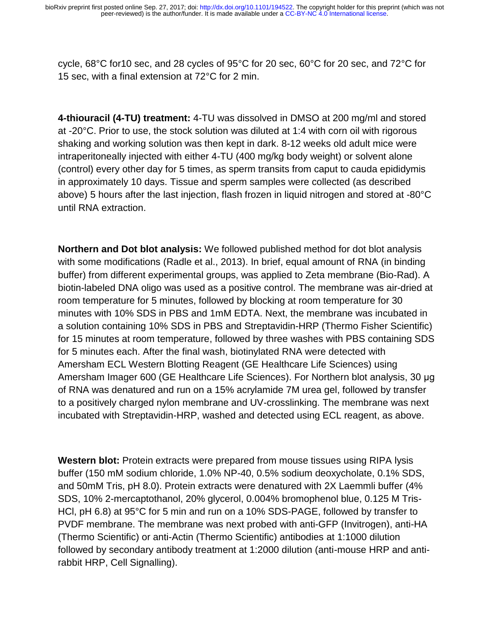cycle, 68°C for10 sec, and 28 cycles of 95°C for 20 sec, 60°C for 20 sec, and 72°C for 15 sec, with a final extension at 72°C for 2 min.

**4-thiouracil (4-TU) treatment:** 4-TU was dissolved in DMSO at 200 mg/ml and stored at -20°C. Prior to use, the stock solution was diluted at 1:4 with corn oil with rigorous shaking and working solution was then kept in dark. 8-12 weeks old adult mice were intraperitoneally injected with either 4-TU (400 mg/kg body weight) or solvent alone (control) every other day for 5 times, as sperm transits from caput to cauda epididymis in approximately 10 days. Tissue and sperm samples were collected (as described above) 5 hours after the last injection, flash frozen in liquid nitrogen and stored at -80°C until RNA extraction.

**Northern and Dot blot analysis:** We followed published method for dot blot analysis with some modifications (Radle et al., 2013). In brief, equal amount of RNA (in binding buffer) from different experimental groups, was applied to Zeta membrane (Bio-Rad). A biotin-labeled DNA oligo was used as a positive control. The membrane was air-dried at room temperature for 5 minutes, followed by blocking at room temperature for 30 minutes with 10% SDS in PBS and 1mM EDTA. Next, the membrane was incubated in a solution containing 10% SDS in PBS and Streptavidin-HRP (Thermo Fisher Scientific) for 15 minutes at room temperature, followed by three washes with PBS containing SDS for 5 minutes each. After the final wash, biotinylated RNA were detected with Amersham ECL Western Blotting Reagent (GE Healthcare Life Sciences) using Amersham Imager 600 (GE Healthcare Life Sciences). For Northern blot analysis, 30 μg of RNA was denatured and run on a 15% acrylamide 7M urea gel, followed by transfer to a positively charged nylon membrane and UV-crosslinking. The membrane was next incubated with Streptavidin-HRP, washed and detected using ECL reagent, as above.

**Western blot:** Protein extracts were prepared from mouse tissues using RIPA lysis buffer (150 mM sodium chloride, 1.0% NP-40, 0.5% sodium deoxycholate, 0.1% SDS, and 50mM Tris, pH 8.0). Protein extracts were denatured with 2X Laemmli buffer (4% SDS, 10% 2-mercaptothanol, 20% glycerol, 0.004% bromophenol blue, 0.125 M Tris-HCl, pH 6.8) at 95°C for 5 min and run on a 10% SDS-PAGE, followed by transfer to PVDF membrane. The membrane was next probed with anti-GFP (Invitrogen), anti-HA (Thermo Scientific) or anti-Actin (Thermo Scientific) antibodies at 1:1000 dilution followed by secondary antibody treatment at 1:2000 dilution (anti-mouse HRP and antirabbit HRP, Cell Signalling).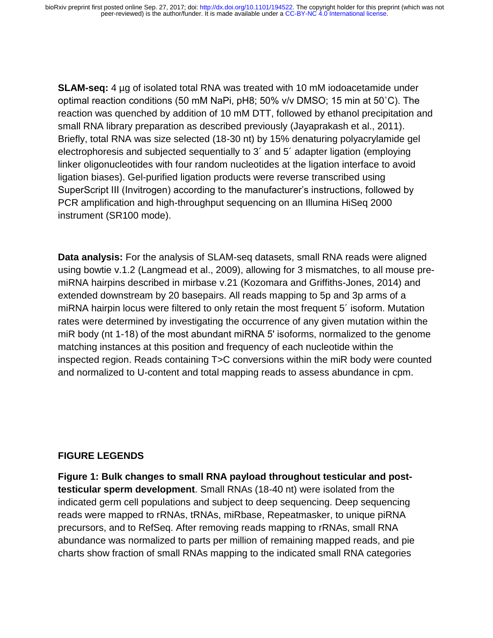**SLAM-seq:** 4 µg of isolated total RNA was treated with 10 mM iodoacetamide under optimal reaction conditions (50 mM NaPi, pH8; 50% v/v DMSO; 15 min at 50˚C). The reaction was quenched by addition of 10 mM DTT, followed by ethanol precipitation and small RNA library preparation as described previously (Jayaprakash et al., 2011). Briefly, total RNA was size selected (18-30 nt) by 15% denaturing polyacrylamide gel electrophoresis and subjected sequentially to 3´ and 5´ adapter ligation (employing linker oligonucleotides with four random nucleotides at the ligation interface to avoid ligation biases). Gel-purified ligation products were reverse transcribed using SuperScript III (Invitrogen) according to the manufacturer's instructions, followed by PCR amplification and high-throughput sequencing on an Illumina HiSeq 2000 instrument (SR100 mode).

**Data analysis:** For the analysis of SLAM-seq datasets, small RNA reads were aligned using bowtie v.1.2 (Langmead et al., 2009), allowing for 3 mismatches, to all mouse premiRNA hairpins described in mirbase v.21 (Kozomara and Griffiths-Jones, 2014) and extended downstream by 20 basepairs. All reads mapping to 5p and 3p arms of a miRNA hairpin locus were filtered to only retain the most frequent 5´ isoform. Mutation rates were determined by investigating the occurrence of any given mutation within the miR body (nt 1-18) of the most abundant miRNA 5ʹ isoforms, normalized to the genome matching instances at this position and frequency of each nucleotide within the inspected region. Reads containing T>C conversions within the miR body were counted and normalized to U-content and total mapping reads to assess abundance in cpm.

#### **FIGURE LEGENDS**

**Figure 1: Bulk changes to small RNA payload throughout testicular and posttesticular sperm development**. Small RNAs (18-40 nt) were isolated from the indicated germ cell populations and subject to deep sequencing. Deep sequencing reads were mapped to rRNAs, tRNAs, miRbase, Repeatmasker, to unique piRNA precursors, and to RefSeq. After removing reads mapping to rRNAs, small RNA abundance was normalized to parts per million of remaining mapped reads, and pie charts show fraction of small RNAs mapping to the indicated small RNA categories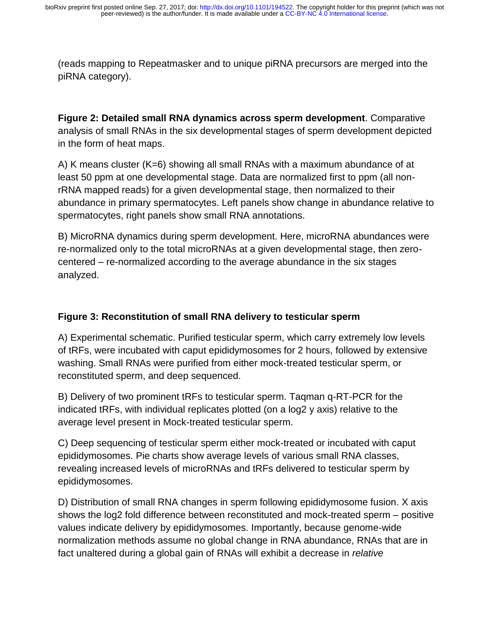(reads mapping to Repeatmasker and to unique piRNA precursors are merged into the piRNA category).

**Figure 2: Detailed small RNA dynamics across sperm development**. Comparative analysis of small RNAs in the six developmental stages of sperm development depicted in the form of heat maps.

A) K means cluster (K=6) showing all small RNAs with a maximum abundance of at least 50 ppm at one developmental stage. Data are normalized first to ppm (all nonrRNA mapped reads) for a given developmental stage, then normalized to their abundance in primary spermatocytes. Left panels show change in abundance relative to spermatocytes, right panels show small RNA annotations.

B) MicroRNA dynamics during sperm development. Here, microRNA abundances were re-normalized only to the total microRNAs at a given developmental stage, then zerocentered – re-normalized according to the average abundance in the six stages analyzed.

## **Figure 3: Reconstitution of small RNA delivery to testicular sperm**

A) Experimental schematic. Purified testicular sperm, which carry extremely low levels of tRFs, were incubated with caput epididymosomes for 2 hours, followed by extensive washing. Small RNAs were purified from either mock-treated testicular sperm, or reconstituted sperm, and deep sequenced.

B) Delivery of two prominent tRFs to testicular sperm. Taqman q-RT-PCR for the indicated tRFs, with individual replicates plotted (on a log2 y axis) relative to the average level present in Mock-treated testicular sperm.

C) Deep sequencing of testicular sperm either mock-treated or incubated with caput epididymosomes. Pie charts show average levels of various small RNA classes, revealing increased levels of microRNAs and tRFs delivered to testicular sperm by epididymosomes.

D) Distribution of small RNA changes in sperm following epididymosome fusion. X axis shows the log2 fold difference between reconstituted and mock-treated sperm – positive values indicate delivery by epididymosomes. Importantly, because genome-wide normalization methods assume no global change in RNA abundance, RNAs that are in fact unaltered during a global gain of RNAs will exhibit a decrease in *relative*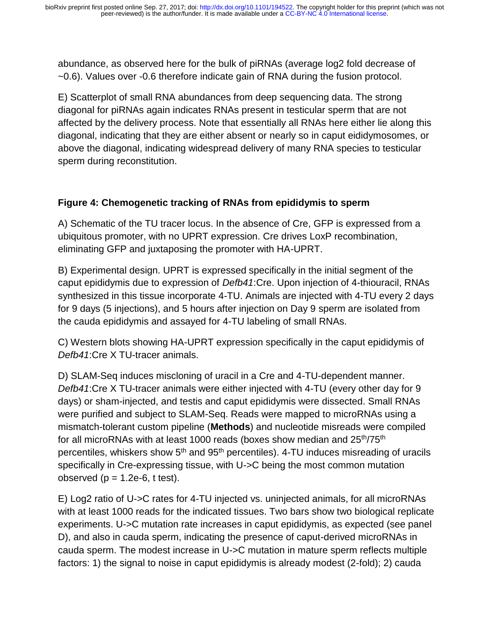abundance, as observed here for the bulk of piRNAs (average log2 fold decrease of ~0.6). Values over -0.6 therefore indicate gain of RNA during the fusion protocol.

E) Scatterplot of small RNA abundances from deep sequencing data. The strong diagonal for piRNAs again indicates RNAs present in testicular sperm that are not affected by the delivery process. Note that essentially all RNAs here either lie along this diagonal, indicating that they are either absent or nearly so in caput eididymosomes, or above the diagonal, indicating widespread delivery of many RNA species to testicular sperm during reconstitution.

# **Figure 4: Chemogenetic tracking of RNAs from epididymis to sperm**

A) Schematic of the TU tracer locus. In the absence of Cre, GFP is expressed from a ubiquitous promoter, with no UPRT expression. Cre drives LoxP recombination, eliminating GFP and juxtaposing the promoter with HA-UPRT.

B) Experimental design. UPRT is expressed specifically in the initial segment of the caput epididymis due to expression of *Defb41*:Cre. Upon injection of 4-thiouracil, RNAs synthesized in this tissue incorporate 4-TU. Animals are injected with 4-TU every 2 days for 9 days (5 injections), and 5 hours after injection on Day 9 sperm are isolated from the cauda epididymis and assayed for 4-TU labeling of small RNAs.

C) Western blots showing HA-UPRT expression specifically in the caput epididymis of *Defb41*:Cre X TU-tracer animals.

D) SLAM-Seq induces miscloning of uracil in a Cre and 4-TU-dependent manner. *Defb41*:Cre X TU-tracer animals were either injected with 4-TU (every other day for 9 days) or sham-injected, and testis and caput epididymis were dissected. Small RNAs were purified and subject to SLAM-Seq. Reads were mapped to microRNAs using a mismatch-tolerant custom pipeline (**Methods**) and nucleotide misreads were compiled for all microRNAs with at least 1000 reads (boxes show median and 25<sup>th</sup>/75<sup>th</sup> percentiles, whiskers show  $5<sup>th</sup>$  and  $95<sup>th</sup>$  percentiles). 4-TU induces misreading of uracils specifically in Cre-expressing tissue, with U->C being the most common mutation observed ( $p = 1.2e-6$ , t test).

E) Log2 ratio of U->C rates for 4-TU injected vs. uninjected animals, for all microRNAs with at least 1000 reads for the indicated tissues. Two bars show two biological replicate experiments. U->C mutation rate increases in caput epididymis, as expected (see panel D), and also in cauda sperm, indicating the presence of caput-derived microRNAs in cauda sperm. The modest increase in U->C mutation in mature sperm reflects multiple factors: 1) the signal to noise in caput epididymis is already modest (2-fold); 2) cauda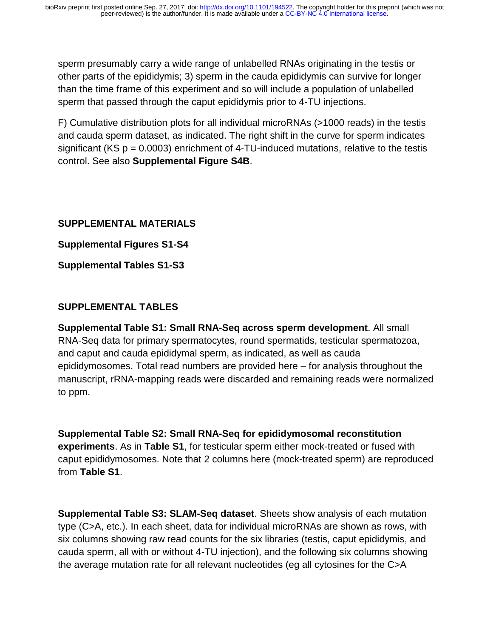sperm presumably carry a wide range of unlabelled RNAs originating in the testis or other parts of the epididymis; 3) sperm in the cauda epididymis can survive for longer than the time frame of this experiment and so will include a population of unlabelled sperm that passed through the caput epididymis prior to 4-TU injections.

F) Cumulative distribution plots for all individual microRNAs (>1000 reads) in the testis and cauda sperm dataset, as indicated. The right shift in the curve for sperm indicates significant (KS  $p = 0.0003$ ) enrichment of 4-TU-induced mutations, relative to the testis control. See also **Supplemental Figure S4B**.

### **SUPPLEMENTAL MATERIALS**

**Supplemental Figures S1-S4** 

**Supplemental Tables S1-S3** 

# **SUPPLEMENTAL TABLES**

**Supplemental Table S1: Small RNA-Seq across sperm development**. All small RNA-Seq data for primary spermatocytes, round spermatids, testicular spermatozoa, and caput and cauda epididymal sperm, as indicated, as well as cauda epididymosomes. Total read numbers are provided here – for analysis throughout the manuscript, rRNA-mapping reads were discarded and remaining reads were normalized to ppm.

**Supplemental Table S2: Small RNA-Seq for epididymosomal reconstitution experiments**. As in **Table S1**, for testicular sperm either mock-treated or fused with caput epididymosomes. Note that 2 columns here (mock-treated sperm) are reproduced from **Table S1**.

**Supplemental Table S3: SLAM-Seq dataset**. Sheets show analysis of each mutation type (C>A, etc.). In each sheet, data for individual microRNAs are shown as rows, with six columns showing raw read counts for the six libraries (testis, caput epididymis, and cauda sperm, all with or without 4-TU injection), and the following six columns showing the average mutation rate for all relevant nucleotides (eg all cytosines for the C>A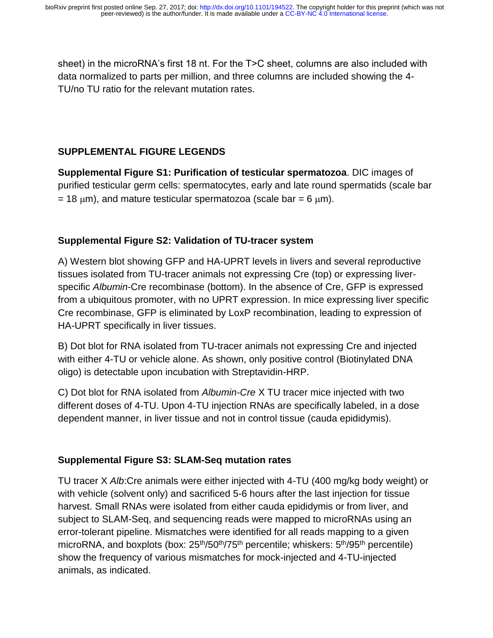sheet) in the microRNA's first 18 nt. For the T>C sheet, columns are also included with data normalized to parts per million, and three columns are included showing the 4- TU/no TU ratio for the relevant mutation rates.

## **SUPPLEMENTAL FIGURE LEGENDS**

**Supplemental Figure S1: Purification of testicular spermatozoa**. DIC images of purified testicular germ cells: spermatocytes, early and late round spermatids (scale bar = 18  $\mu$ m), and mature testicular spermatozoa (scale bar = 6  $\mu$ m).

#### **Supplemental Figure S2: Validation of TU-tracer system**

A) Western blot showing GFP and HA-UPRT levels in livers and several reproductive tissues isolated from TU-tracer animals not expressing Cre (top) or expressing liverspecific *Albumin*-Cre recombinase (bottom). In the absence of Cre, GFP is expressed from a ubiquitous promoter, with no UPRT expression. In mice expressing liver specific Cre recombinase, GFP is eliminated by LoxP recombination, leading to expression of HA-UPRT specifically in liver tissues.

B) Dot blot for RNA isolated from TU-tracer animals not expressing Cre and injected with either 4-TU or vehicle alone. As shown, only positive control (Biotinylated DNA oligo) is detectable upon incubation with Streptavidin-HRP.

C) Dot blot for RNA isolated from *Albumin-Cre* X TU tracer mice injected with two different doses of 4-TU. Upon 4-TU injection RNAs are specifically labeled, in a dose dependent manner, in liver tissue and not in control tissue (cauda epididymis).

#### **Supplemental Figure S3: SLAM-Seq mutation rates**

TU tracer X *Alb*:Cre animals were either injected with 4-TU (400 mg/kg body weight) or with vehicle (solvent only) and sacrificed 5-6 hours after the last injection for tissue harvest. Small RNAs were isolated from either cauda epididymis or from liver, and subject to SLAM-Seq, and sequencing reads were mapped to microRNAs using an error-tolerant pipeline. Mismatches were identified for all reads mapping to a given microRNA, and boxplots (box:  $25<sup>th</sup>/50<sup>th</sup>/75<sup>th</sup>$  percentile; whiskers:  $5<sup>th</sup>/95<sup>th</sup>$  percentile) show the frequency of various mismatches for mock-injected and 4-TU-injected animals, as indicated.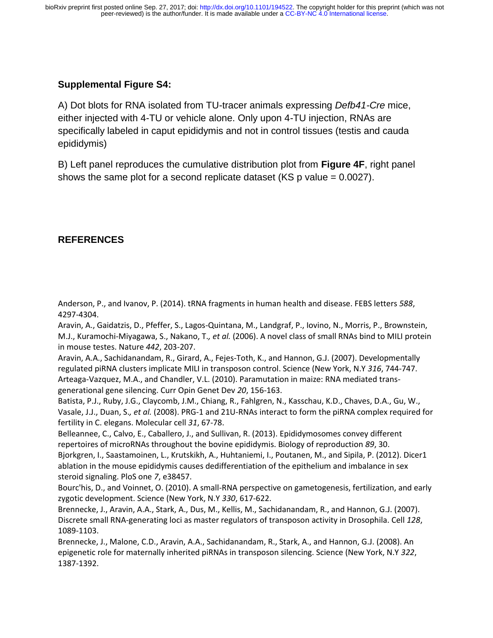## **Supplemental Figure S4:**

A) Dot blots for RNA isolated from TU-tracer animals expressing *Defb41-Cre* mice, either injected with 4-TU or vehicle alone. Only upon 4-TU injection, RNAs are specifically labeled in caput epididymis and not in control tissues (testis and cauda epididymis)

B) Left panel reproduces the cumulative distribution plot from **Figure 4F**, right panel shows the same plot for a second replicate dataset (KS p value = 0.0027).

### **REFERENCES**

Anderson, P., and Ivanov, P. (2014). tRNA fragments in human health and disease. FEBS letters *588*, 4297-4304.

Aravin, A., Gaidatzis, D., Pfeffer, S., Lagos-Quintana, M., Landgraf, P., Iovino, N., Morris, P., Brownstein, M.J., Kuramochi-Miyagawa, S., Nakano, T.*, et al.* (2006). A novel class of small RNAs bind to MILI protein in mouse testes. Nature *442*, 203-207.

Aravin, A.A., Sachidanandam, R., Girard, A., Fejes-Toth, K., and Hannon, G.J. (2007). Developmentally regulated piRNA clusters implicate MILI in transposon control. Science (New York, N.Y *316*, 744-747. Arteaga-Vazquez, M.A., and Chandler, V.L. (2010). Paramutation in maize: RNA mediated transgenerational gene silencing. Curr Opin Genet Dev *20*, 156-163.

Batista, P.J., Ruby, J.G., Claycomb, J.M., Chiang, R., Fahlgren, N., Kasschau, K.D., Chaves, D.A., Gu, W., Vasale, J.J., Duan, S.*, et al.* (2008). PRG-1 and 21U-RNAs interact to form the piRNA complex required for fertility in C. elegans. Molecular cell *31*, 67-78.

Belleannee, C., Calvo, E., Caballero, J., and Sullivan, R. (2013). Epididymosomes convey different repertoires of microRNAs throughout the bovine epididymis. Biology of reproduction *89*, 30. Bjorkgren, I., Saastamoinen, L., Krutskikh, A., Huhtaniemi, I., Poutanen, M., and Sipila, P. (2012). Dicer1 ablation in the mouse epididymis causes dedifferentiation of the epithelium and imbalance in sex steroid signaling. PloS one *7*, e38457.

Bourc'his, D., and Voinnet, O. (2010). A small-RNA perspective on gametogenesis, fertilization, and early zygotic development. Science (New York, N.Y *330*, 617-622.

Brennecke, J., Aravin, A.A., Stark, A., Dus, M., Kellis, M., Sachidanandam, R., and Hannon, G.J. (2007). Discrete small RNA-generating loci as master regulators of transposon activity in Drosophila. Cell *128*, 1089-1103.

Brennecke, J., Malone, C.D., Aravin, A.A., Sachidanandam, R., Stark, A., and Hannon, G.J. (2008). An epigenetic role for maternally inherited piRNAs in transposon silencing. Science (New York, N.Y *322*, 1387-1392.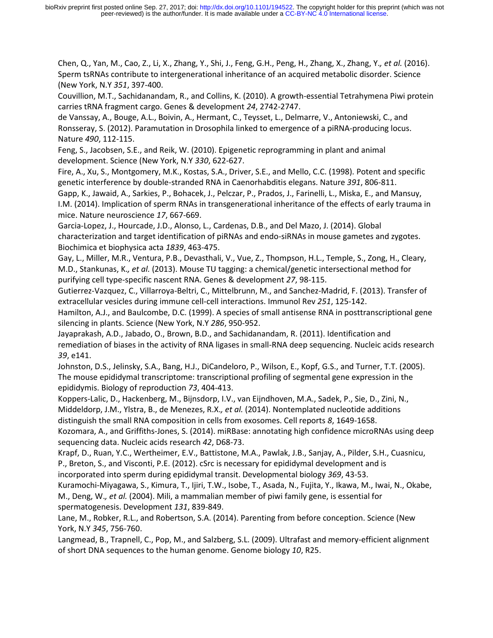Chen, Q., Yan, M., Cao, Z., Li, X., Zhang, Y., Shi, J., Feng, G.H., Peng, H., Zhang, X., Zhang, Y.*, et al.* (2016). Sperm tsRNAs contribute to intergenerational inheritance of an acquired metabolic disorder. Science (New York, N.Y *351*, 397-400.

Couvillion, M.T., Sachidanandam, R., and Collins, K. (2010). A growth-essential Tetrahymena Piwi protein carries tRNA fragment cargo. Genes & development *24*, 2742-2747.

de Vanssay, A., Bouge, A.L., Boivin, A., Hermant, C., Teysset, L., Delmarre, V., Antoniewski, C., and Ronsseray, S. (2012). Paramutation in Drosophila linked to emergence of a piRNA-producing locus. Nature *490*, 112-115.

Feng, S., Jacobsen, S.E., and Reik, W. (2010). Epigenetic reprogramming in plant and animal development. Science (New York, N.Y *330*, 622-627.

Fire, A., Xu, S., Montgomery, M.K., Kostas, S.A., Driver, S.E., and Mello, C.C. (1998). Potent and specific genetic interference by double-stranded RNA in Caenorhabditis elegans. Nature *391*, 806-811.

Gapp, K., Jawaid, A., Sarkies, P., Bohacek, J., Pelczar, P., Prados, J., Farinelli, L., Miska, E., and Mansuy, I.M. (2014). Implication of sperm RNAs in transgenerational inheritance of the effects of early trauma in mice. Nature neuroscience *17*, 667-669.

Garcia-Lopez, J., Hourcade, J.D., Alonso, L., Cardenas, D.B., and Del Mazo, J. (2014). Global characterization and target identification of piRNAs and endo-siRNAs in mouse gametes and zygotes. Biochimica et biophysica acta *1839*, 463-475.

Gay, L., Miller, M.R., Ventura, P.B., Devasthali, V., Vue, Z., Thompson, H.L., Temple, S., Zong, H., Cleary, M.D., Stankunas, K.*, et al.* (2013). Mouse TU tagging: a chemical/genetic intersectional method for purifying cell type-specific nascent RNA. Genes & development *27*, 98-115.

Gutierrez-Vazquez, C., Villarroya-Beltri, C., Mittelbrunn, M., and Sanchez-Madrid, F. (2013). Transfer of extracellular vesicles during immune cell-cell interactions. Immunol Rev *251*, 125-142.

Hamilton, A.J., and Baulcombe, D.C. (1999). A species of small antisense RNA in posttranscriptional gene silencing in plants. Science (New York, N.Y *286*, 950-952.

Jayaprakash, A.D., Jabado, O., Brown, B.D., and Sachidanandam, R. (2011). Identification and remediation of biases in the activity of RNA ligases in small-RNA deep sequencing. Nucleic acids research *39*, e141.

Johnston, D.S., Jelinsky, S.A., Bang, H.J., DiCandeloro, P., Wilson, E., Kopf, G.S., and Turner, T.T. (2005). The mouse epididymal transcriptome: transcriptional profiling of segmental gene expression in the epididymis. Biology of reproduction *73*, 404-413.

Koppers-Lalic, D., Hackenberg, M., Bijnsdorp, I.V., van Eijndhoven, M.A., Sadek, P., Sie, D., Zini, N., Middeldorp, J.M., Ylstra, B., de Menezes, R.X.*, et al.* (2014). Nontemplated nucleotide additions

distinguish the small RNA composition in cells from exosomes. Cell reports *8*, 1649-1658. Kozomara, A., and Griffiths-Jones, S. (2014). miRBase: annotating high confidence microRNAs using deep sequencing data. Nucleic acids research *42*, D68-73.

Krapf, D., Ruan, Y.C., Wertheimer, E.V., Battistone, M.A., Pawlak, J.B., Sanjay, A., Pilder, S.H., Cuasnicu, P., Breton, S., and Visconti, P.E. (2012). cSrc is necessary for epididymal development and is

incorporated into sperm during epididymal transit. Developmental biology *369*, 43-53.

Kuramochi-Miyagawa, S., Kimura, T., Ijiri, T.W., Isobe, T., Asada, N., Fujita, Y., Ikawa, M., Iwai, N., Okabe, M., Deng, W.*, et al.* (2004). Mili, a mammalian member of piwi family gene, is essential for spermatogenesis. Development *131*, 839-849.

Lane, M., Robker, R.L., and Robertson, S.A. (2014). Parenting from before conception. Science (New York, N.Y *345*, 756-760.

Langmead, B., Trapnell, C., Pop, M., and Salzberg, S.L. (2009). Ultrafast and memory-efficient alignment of short DNA sequences to the human genome. Genome biology *10*, R25.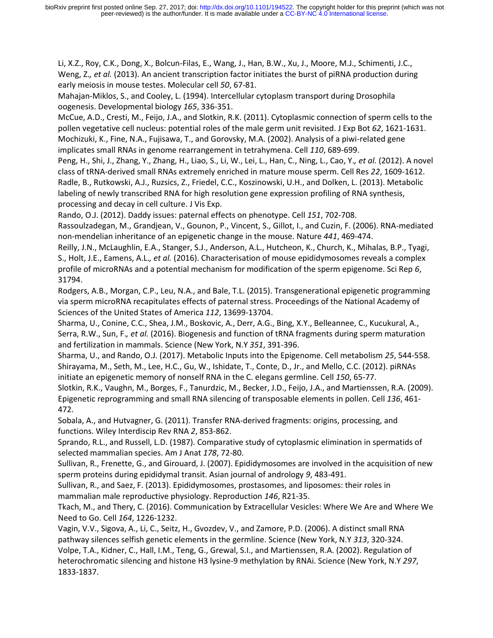Li, X.Z., Roy, C.K., Dong, X., Bolcun-Filas, E., Wang, J., Han, B.W., Xu, J., Moore, M.J., Schimenti, J.C., Weng, Z., et al. (2013). An ancient transcription factor initiates the burst of piRNA production during early meiosis in mouse testes. Molecular cell *50*, 67-81.

Mahajan-Miklos, S., and Cooley, L. (1994). Intercellular cytoplasm transport during Drosophila oogenesis. Developmental biology *165*, 336-351.

McCue, A.D., Cresti, M., Feijo, J.A., and Slotkin, R.K. (2011). Cytoplasmic connection of sperm cells to the pollen vegetative cell nucleus: potential roles of the male germ unit revisited. J Exp Bot *62*, 1621-1631. Mochizuki, K., Fine, N.A., Fujisawa, T., and Gorovsky, M.A. (2002). Analysis of a piwi-related gene implicates small RNAs in genome rearrangement in tetrahymena. Cell *110*, 689-699.

Peng, H., Shi, J., Zhang, Y., Zhang, H., Liao, S., Li, W., Lei, L., Han, C., Ning, L., Cao, Y.*, et al.* (2012). A novel class of tRNA-derived small RNAs extremely enriched in mature mouse sperm. Cell Res *22*, 1609-1612. Radle, B., Rutkowski, A.J., Ruzsics, Z., Friedel, C.C., Koszinowski, U.H., and Dolken, L. (2013). Metabolic labeling of newly transcribed RNA for high resolution gene expression profiling of RNA synthesis, processing and decay in cell culture. J Vis Exp.

Rando, O.J. (2012). Daddy issues: paternal effects on phenotype. Cell *151*, 702-708.

Rassoulzadegan, M., Grandjean, V., Gounon, P., Vincent, S., Gillot, I., and Cuzin, F. (2006). RNA-mediated non-mendelian inheritance of an epigenetic change in the mouse. Nature *441*, 469-474.

Reilly, J.N., McLaughlin, E.A., Stanger, S.J., Anderson, A.L., Hutcheon, K., Church, K., Mihalas, B.P., Tyagi, S., Holt, J.E., Eamens, A.L.*, et al.* (2016). Characterisation of mouse epididymosomes reveals a complex profile of microRNAs and a potential mechanism for modification of the sperm epigenome. Sci Rep *6*, 31794.

Rodgers, A.B., Morgan, C.P., Leu, N.A., and Bale, T.L. (2015). Transgenerational epigenetic programming via sperm microRNA recapitulates effects of paternal stress. Proceedings of the National Academy of Sciences of the United States of America *112*, 13699-13704.

Sharma, U., Conine, C.C., Shea, J.M., Boskovic, A., Derr, A.G., Bing, X.Y., Belleannee, C., Kucukural, A., Serra, R.W., Sun, F.*, et al.* (2016). Biogenesis and function of tRNA fragments during sperm maturation and fertilization in mammals. Science (New York, N.Y *351*, 391-396.

Sharma, U., and Rando, O.J. (2017). Metabolic Inputs into the Epigenome. Cell metabolism *25*, 544-558. Shirayama, M., Seth, M., Lee, H.C., Gu, W., Ishidate, T., Conte, D., Jr., and Mello, C.C. (2012). piRNAs initiate an epigenetic memory of nonself RNA in the C. elegans germline. Cell *150*, 65-77.

Slotkin, R.K., Vaughn, M., Borges, F., Tanurdzic, M., Becker, J.D., Feijo, J.A., and Martienssen, R.A. (2009). Epigenetic reprogramming and small RNA silencing of transposable elements in pollen. Cell *136*, 461- 472.

Sobala, A., and Hutvagner, G. (2011). Transfer RNA-derived fragments: origins, processing, and functions. Wiley Interdiscip Rev RNA *2*, 853-862.

Sprando, R.L., and Russell, L.D. (1987). Comparative study of cytoplasmic elimination in spermatids of selected mammalian species. Am J Anat *178*, 72-80.

Sullivan, R., Frenette, G., and Girouard, J. (2007). Epididymosomes are involved in the acquisition of new sperm proteins during epididymal transit. Asian journal of andrology *9*, 483-491.

Sullivan, R., and Saez, F. (2013). Epididymosomes, prostasomes, and liposomes: their roles in mammalian male reproductive physiology. Reproduction *146*, R21-35.

Tkach, M., and Thery, C. (2016). Communication by Extracellular Vesicles: Where We Are and Where We Need to Go. Cell *164*, 1226-1232.

Vagin, V.V., Sigova, A., Li, C., Seitz, H., Gvozdev, V., and Zamore, P.D. (2006). A distinct small RNA pathway silences selfish genetic elements in the germline. Science (New York, N.Y *313*, 320-324. Volpe, T.A., Kidner, C., Hall, I.M., Teng, G., Grewal, S.I., and Martienssen, R.A. (2002). Regulation of heterochromatic silencing and histone H3 lysine-9 methylation by RNAi. Science (New York, N.Y *297*, 1833-1837.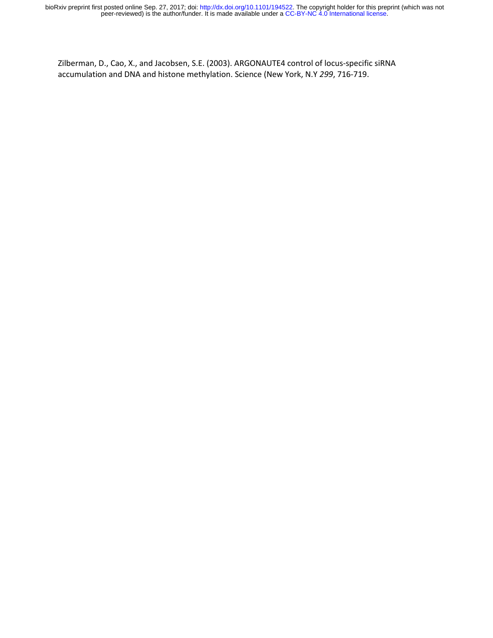Zilberman, D., Cao, X., and Jacobsen, S.E. (2003). ARGONAUTE4 control of locus-specific siRNA accumulation and DNA and histone methylation. Science (New York, N.Y *299*, 716-719.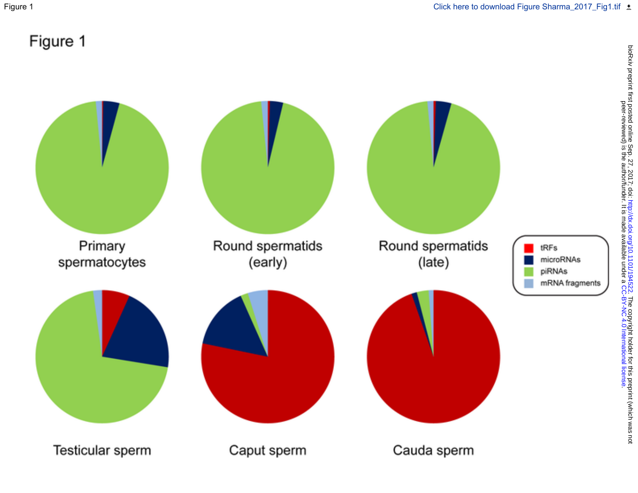Figure 1

# Figure 1

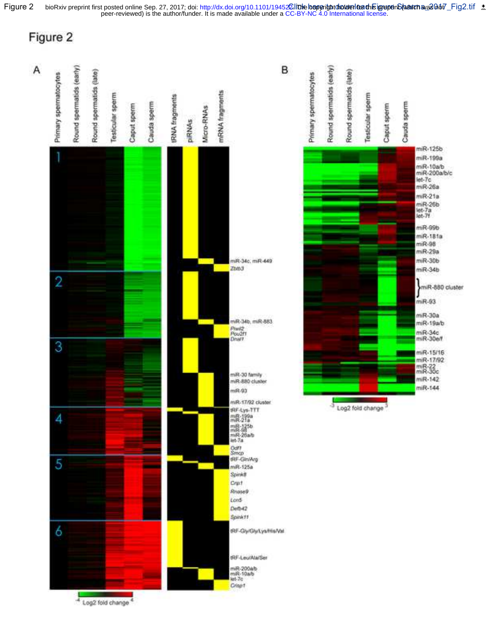



Figure 2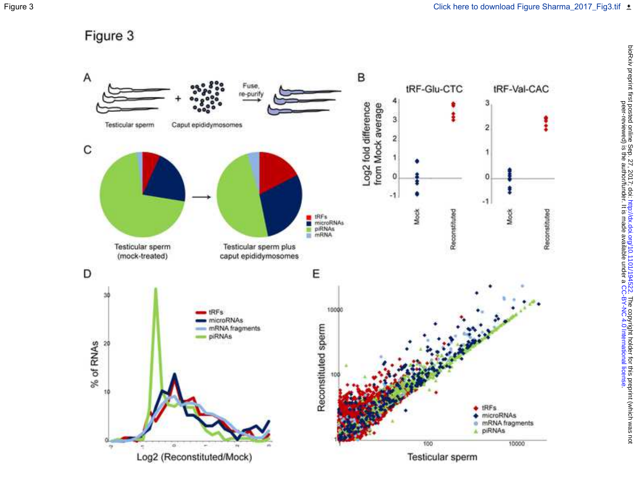

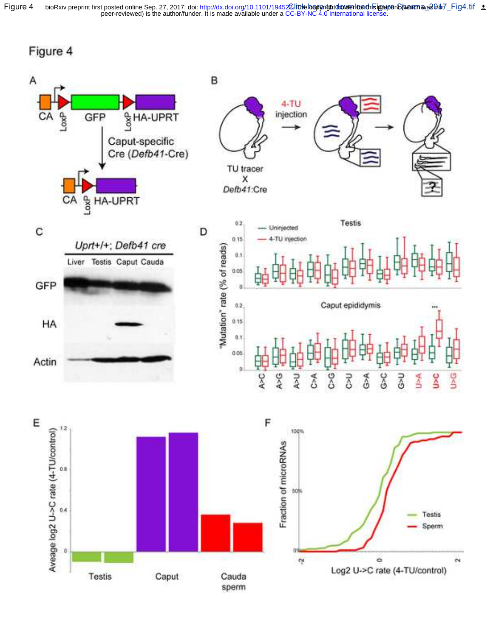Figure 4 bioRxiv preprint first posted online Sep. 27, 2017; doi: http://dx.doi.org/10.1101/19452**Ωlittle lceperitntdhotdenloadhisigrepenS(vancha**va&0nof\_Fig4.tif<br>peer-reviewed) is the author/funder. It is made available bioRxiv preprint first posted online Sep. 27, 2017; doi: http://dx.doi.org/10.1101/19452**2. līthe lceperitnt holder foach is iprepe**nS**(wahrch was 2**6 სინ





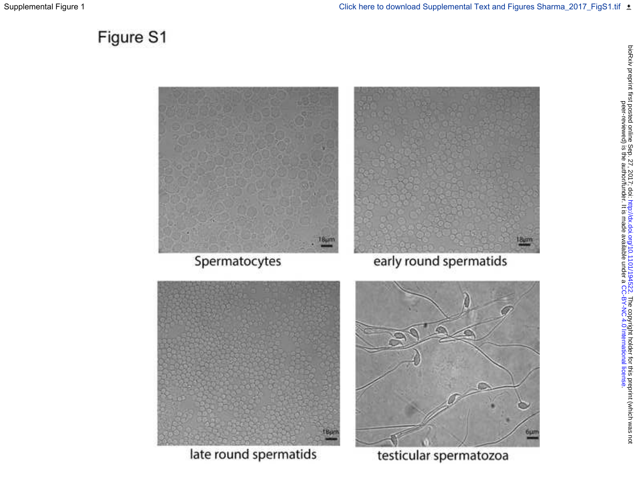# Figure S1



late round spermatids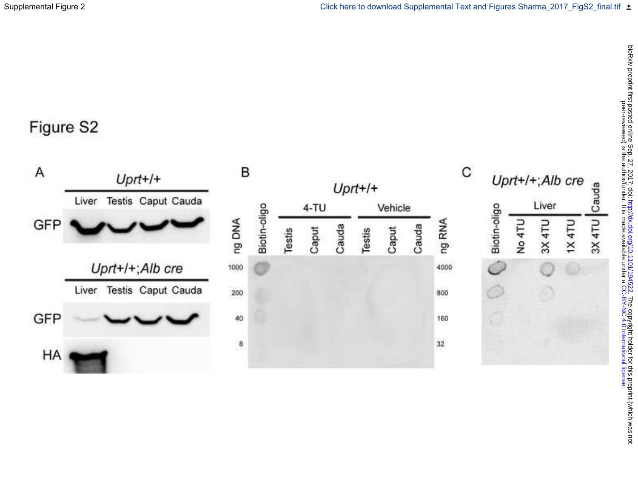# Figure S2

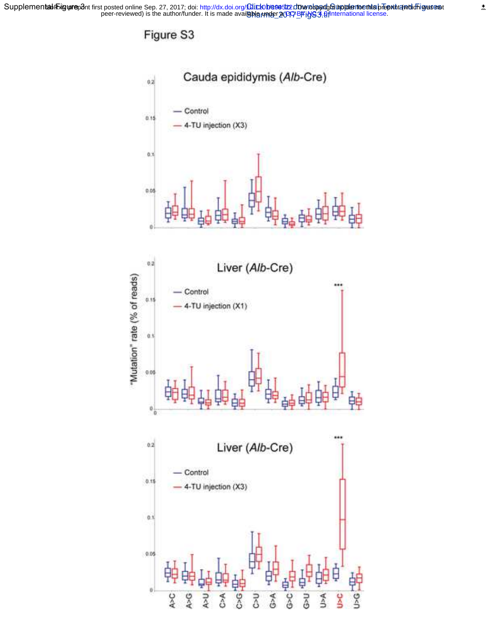Supplemen**taն** Föig**ure**p8nt first posted online Sep. 27, 2017; doi: http://dx.doi.org/**Click herestz cine սերցուցակում հարթ**ուներ ին արդեն արդեն արդեն արդեն peer-reviewed) is the author/funder. It is made avail**able under 2017**-BFigG3.fifinternational license. babihRiguprep8ntfirst posted online Sep. 27, 2017; doi: http://dx.doi.org/00.lich/oh/enee5122.ch/burchopyra/ghabihpaleenforemlia breprinta(which ig/asenat